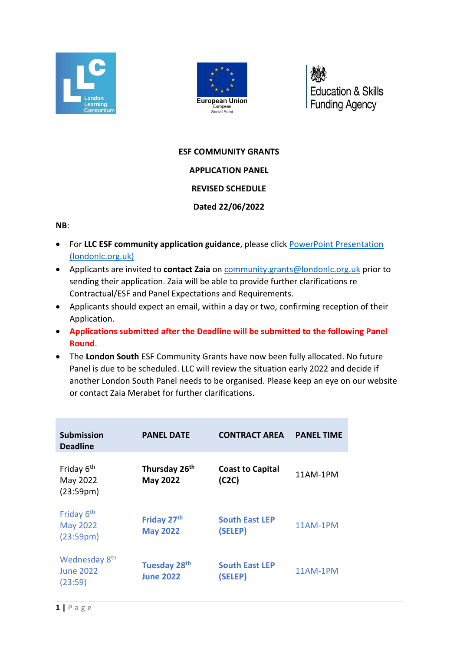



**Education & Skills Funding Agency** 

## **ESF COMMUNITY GRANTS**

# **APPLICATION PANEL**

### **REVISED SCHEDULE**

## **Dated 22/06/2022**

#### **NB**:

- For **LLC ESF community application guidance**, please click [PowerPoint Presentation](https://www.londonlc.org.uk/wp-content/uploads/LLC-ESF-Community-Grants-Application-Guidance-v3.pdf)  [\(londonlc.org.uk\)](https://www.londonlc.org.uk/wp-content/uploads/LLC-ESF-Community-Grants-Application-Guidance-v3.pdf)
- Applicants are invited to **contact Zaia** on [community.grants@londonlc.org.uk](mailto:community.grants@londonlc.org.uk) prior to sending their application. Zaia will be able to provide further clarifications re Contractual/ESF and Panel Expectations and Requirements.
- Applicants should expect an email, within a day or two, confirming reception of their Application.
- **Applications submitted after the Deadline will be submitted to the following Panel Round**.
- The **London South** ESF Community Grants have now been fully allocated. No future Panel is due to be scheduled. LLC will review the situation early 2022 and decide if another London South Panel needs to be organised. Please keep an eye on our website or contact Zaia Merabet for further clarifications.

| <b>Submission</b><br><b>Deadline</b>                                | <b>PANEL DATE</b>                            | <b>CONTRACT AREA</b>             | <b>PANEL TIME</b> |
|---------------------------------------------------------------------|----------------------------------------------|----------------------------------|-------------------|
| Friday 6 <sup>th</sup><br>May 2022<br>(23:59 <sub>pm</sub> )        | Thursday 26th<br><b>May 2022</b>             | <b>Coast to Capital</b><br>(C2C) | 11AM-1PM          |
| Friday 6 <sup>th</sup><br><b>May 2022</b><br>(23:59 <sub>pm</sub> ) | Friday 27 <sup>th</sup><br><b>May 2022</b>   | <b>South East LEP</b><br>(SELEP) | 11AM-1PM          |
| Wednesday 8 <sup>th</sup><br><b>June 2022</b><br>(23:59)            | Tuesday 28 <sup>th</sup><br><b>June 2022</b> | <b>South East LEP</b><br>(SELEP) | 11AM-1PM          |